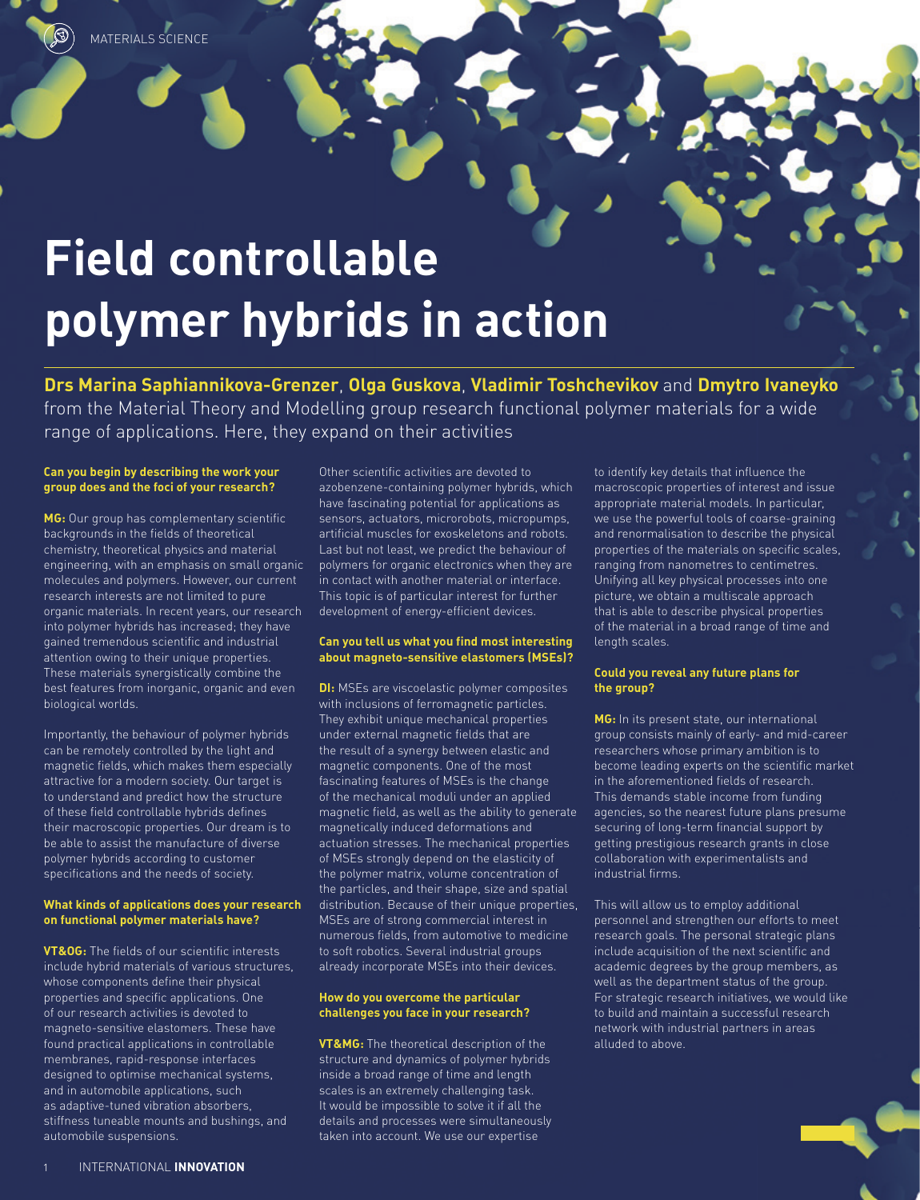# **Field controllable**

## **polymer hybrids in action**

**Drs Marina Saphiannikova-Grenzer**, **Olga Guskova**, **Vladimir Toshchevikov** and **Dmytro Ivaneyko** from the Material Theory and Modelling group research functional polymer materials for a wide range of applications. Here, they expand on their activities

#### **Can you begin by describing the work your group does and the foci of your research?**

**MG:** Our group has complementary scientific backgrounds in the fields of theoretical chemistry, theoretical physics and material engineering, with an emphasis on small organic molecules and polymers. However, our current research interests are not limited to pure organic materials. In recent years, our research into polymer hybrids has increased; they have gained tremendous scientific and industrial attention owing to their unique properties. These materials synergistically combine the best features from inorganic, organic and even biological worlds.

Importantly, the behaviour of polymer hybrids can be remotely controlled by the light and magnetic fields, which makes them especially attractive for a modern society. Our target is to understand and predict how the structure of these field controllable hybrids defines their macroscopic properties. Our dream is to be able to assist the manufacture of diverse polymer hybrids according to customer specifications and the needs of society.

#### **What kinds of applications does your research on functional polymer materials have?**

**VT&OG:** The fields of our scientific interests include hybrid materials of various structures, whose components define their physical properties and specific applications. One of our research activities is devoted to magneto-sensitive elastomers. These have found practical applications in controllable membranes, rapid-response interfaces designed to optimise mechanical systems, and in automobile applications, such as adaptive-tuned vibration absorbers, stiffness tuneable mounts and bushings, and automobile suspensions.

Other scientific activities are devoted to azobenzene-containing polymer hybrids, which have fascinating potential for applications as sensors, actuators, microrobots, micropumps, artificial muscles for exoskeletons and robots. Last but not least, we predict the behaviour of polymers for organic electronics when they are in contact with another material or interface. This topic is of particular interest for further development of energy-efficient devices.

#### **Can you tell us what you find most interesting about magneto-sensitive elastomers (MSEs)?**

**DI:** MSEs are viscoelastic polymer composites with inclusions of ferromagnetic particles. They exhibit unique mechanical properties under external magnetic fields that are the result of a synergy between elastic and magnetic components. One of the most fascinating features of MSEs is the change of the mechanical moduli under an applied magnetic field, as well as the ability to generate magnetically induced deformations and actuation stresses. The mechanical properties of MSEs strongly depend on the elasticity of the polymer matrix, volume concentration of the particles, and their shape, size and spatial distribution. Because of their unique properties, MSEs are of strong commercial interest in numerous fields, from automotive to medicine to soft robotics. Several industrial groups already incorporate MSEs into their devices.

#### **How do you overcome the particular challenges you face in your research?**

**VT&MG:** The theoretical description of the structure and dynamics of polymer hybrids inside a broad range of time and length scales is an extremely challenging task. It would be impossible to solve it if all the details and processes were simultaneously taken into account. We use our expertise

to identify key details that influence the macroscopic properties of interest and issue appropriate material models. In particular, we use the powerful tools of coarse-graining and renormalisation to describe the physical properties of the materials on specific scales, ranging from nanometres to centimetres. Unifying all key physical processes into one picture, we obtain a multiscale approach that is able to describe physical properties of the material in a broad range of time and length scales.

#### **Could you reveal any future plans for the group?**

**MG:** In its present state, our international group consists mainly of early- and mid-career researchers whose primary ambition is to become leading experts on the scientific market in the aforementioned fields of research. This demands stable income from funding agencies, so the nearest future plans presume securing of long-term financial support by getting prestigious research grants in close collaboration with experimentalists and industrial firms.

This will allow us to employ additional personnel and strengthen our efforts to meet research goals. The personal strategic plans include acquisition of the next scientific and academic degrees by the group members, as well as the department status of the group. For strategic research initiatives, we would like to build and maintain a successful research network with industrial partners in areas alluded to above.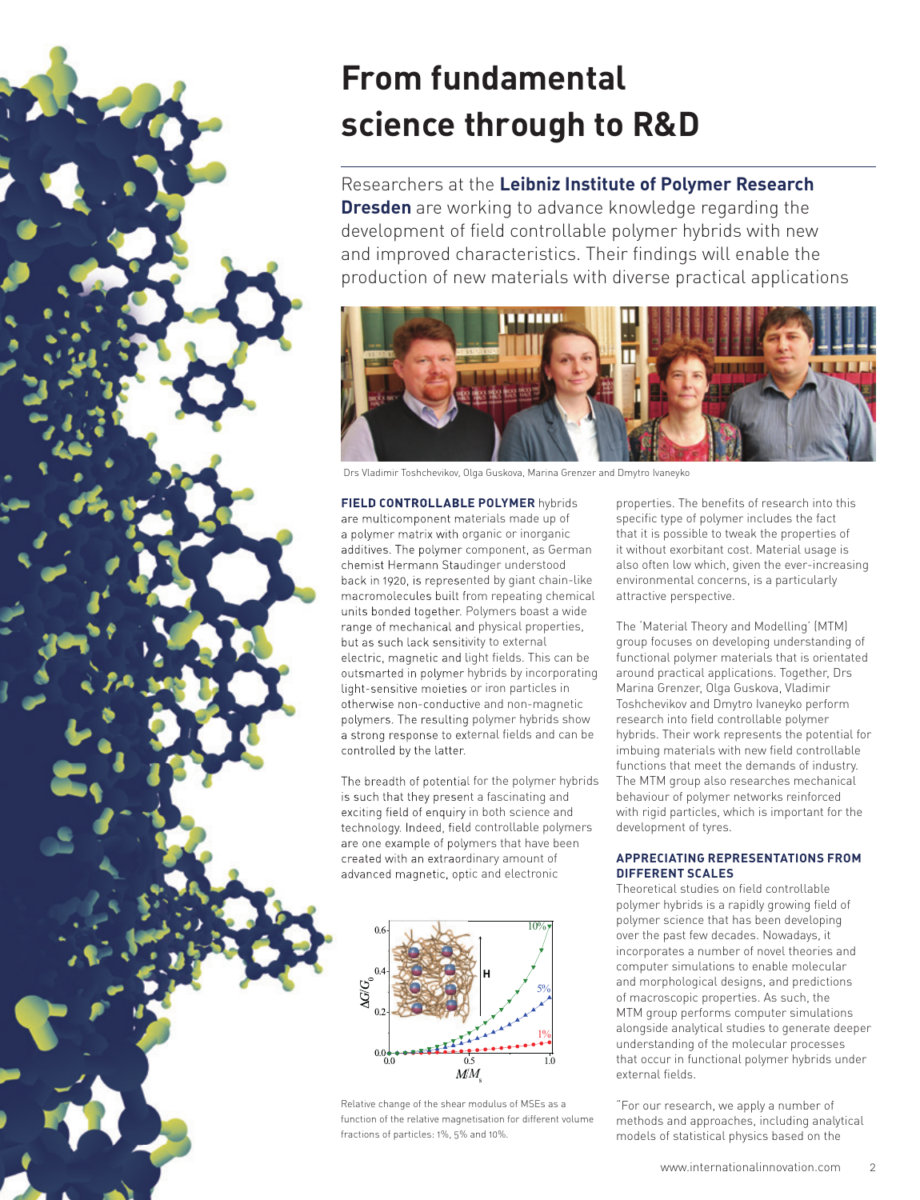### **From fundamental science through to R&D**

**Dresden** are working to advance knowledge regarding the development of field controllable polymer hybrids with new and improved characteristics. Their findings will enable the production of new materials with diverse practical applications



Drs Vladimir Toshchevikov, Olga Guskova, Marina Grenzer and Dmytro Ivaneyko

**FIELD CONTROLLABLE POLYMER** hybrids are multicomponent materials made up of a polymer matrix with organic or inorganic additives. The polymer component, as German chemist Hermann Staudinger understood back in 1920, is represented by giant chain-like macromolecules built from repeating chemical units bonded together. Polymers boast a wide range of mechanical and physical properties, but as such lack sensitivity to external electric, magnetic and light fields. This can be outsmarted in polymer hybrids by incorporating light-sensitive moieties or iron particles in otherwise non-conductive and non-magnetic polymers. The resulting polymer hybrids show a strong response to external fields and can be controlled by the latter.

The breadth of potential for the polymer hybrids is such that they present a fascinating and exciting field of enquiry in both science and technology. Indeed, field controllable polymers are one example of polymers that have been created with an extraordinary amount of advanced magnetic, optic and electronic



Relative change of the shear modulus of MSEs as a function of the relative magnetisation for different volume fractions of particles: 1%, 5% and 10%.

properties. The benefits of research into this specific type of polymer includes the fact that it is possible to tweak the properties of it without exorbitant cost. Material usage is also often low which, given the ever-increasing environmental concerns, is a particularly attractive perspective.

The 'Material Theory and Modelling' (MTM) group focuses on developing understanding of functional polymer materials that is orientated around practical applications. Together, Drs Marina Grenzer, Olga Guskova, Vladimir Toshchevikov and Dmytro Ivaneyko perform research into field controllable polymer hybrids. Their work represents the potential for imbuing materials with new field controllable functions that meet the demands of industry. The MTM group also researches mechanical behaviour of polymer networks reinforced with rigid particles, which is important for the development of tyres.

#### **APPRECIATING REPRESENTATIONS FROM DIFFERENT SCALES**

Theoretical studies on field controllable polymer hybrids is a rapidly growing field of polymer science that has been developing over the past few decades. Nowadays, it incorporates a number of novel theories and computer simulations to enable molecular and morphological designs, and predictions of macroscopic properties. As such, the MTM group performs computer simulations alongside analytical studies to generate deeper understanding of the molecular processes that occur in functional polymer hybrids under external fields.

"For our research, we apply a number of methods and approaches, including analytical models of statistical physics based on the